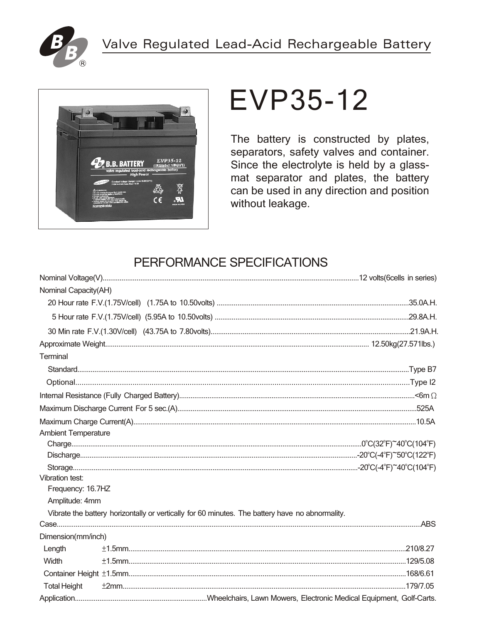



# **EVP35-12**

The battery is constructed by plates, separators, safety valves and container. Since the electrolyte is held by a glassmat separator and plates, the battery can be used in any direction and position without leakage.

## PERFORMANCE SPECIFICATIONS

| Nominal Capacity(AH)       |                                                                                                 |
|----------------------------|-------------------------------------------------------------------------------------------------|
|                            |                                                                                                 |
|                            |                                                                                                 |
|                            |                                                                                                 |
|                            |                                                                                                 |
| Terminal                   |                                                                                                 |
|                            |                                                                                                 |
|                            |                                                                                                 |
|                            |                                                                                                 |
|                            |                                                                                                 |
|                            |                                                                                                 |
| <b>Ambient Temperature</b> |                                                                                                 |
|                            |                                                                                                 |
|                            |                                                                                                 |
|                            |                                                                                                 |
| Vibration test:            |                                                                                                 |
| Frequency: 16.7HZ          |                                                                                                 |
| Amplitude: 4mm             |                                                                                                 |
|                            | Vibrate the battery horizontally or vertically for 60 minutes. The battery have no abnormality. |
|                            |                                                                                                 |
| Dimension(mm/inch)         |                                                                                                 |
| Length                     |                                                                                                 |
| Width                      |                                                                                                 |
|                            |                                                                                                 |
| <b>Total Height</b>        |                                                                                                 |
|                            |                                                                                                 |